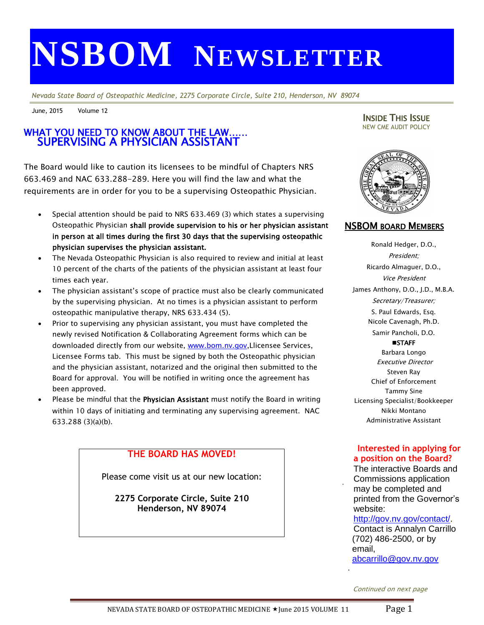# **NSBOM NEWSLETTER**

*Nevada State Board of Osteopathic Medicine, 2275 Corporate Circle, Suite 210, Henderson, NV 89074*

June, 2015 Volume 12

#### $\overline{\mathsf{I}}$ SUPERVISING A PHYSICIAN ASSISTANT WHAT YOU NEED TO KNOW ABOUT THE LAW……

The Board would like to caution its licensees to be mindful of Chapters NRS 663.469 and NAC 633.288-289. Here you will find the law and what the requirements are in order for you to be a supervising Osteopathic Physician.

- Special attention should be paid to NRS 633.469 (3) which states a supervising Osteopathic Physician shall provide supervision to his or her physician assistant in person at all times during the first 30 days that the supervising osteopathic physician supervises the physician assistant.
- The Nevada Osteopathic Physician is also required to review and initial at least 10 percent of the charts of the patients of the physician assistant at least four times each year.
- The physician assistant's scope of practice must also be clearly communicated by the supervising physician. At no times is a physician assistant to perform osteopathic manipulative therapy, NRS 633.434 (5).
- Prior to supervising any physician assistant, you must have completed the newly revised Notification & Collaborating Agreement forms which can be downloaded directly from our website, [www.bom.nv.gov,](http://www.bom.nv.gov/)Llicensee Services, Licensee Forms tab. This must be signed by both the Osteopathic physician and the physician assistant, notarized and the original then submitted to the Board for approval. You will be notified in writing once the agreement has been approved.
- Please be mindful that the Physician Assistant must notify the Board in writing within 10 days of initiating and terminating any supervising agreement. NAC 633.288 (3)(a)(b).

## **THE BOARD HAS MOVED!**

Please come visit us at our new location:

**2275 Corporate Circle, Suite 210 Henderson, NV 89074**

INSIDE THIS ISSUE NEW CME AUDIT POLICY



## NSBOM BOARD MEMBERS

Ronald Hedger, D.O., President; Ricardo Almaguer, D.O., Vice President James Anthony, D.O., J.D., M.B.A. Secretary/Treasurer; S. Paul Edwards, Esq. Nicole Cavenagh, Ph.D. Samir Pancholi, D.O. **STAFF** Barbara Longo Executive Director Steven Ray Chief of Enforcement Tammy Sine Licensing Specialist/Bookkeeper Nikki Montano Administrative Assistant

### **Interested in applying for a position on the Board?**

The interactive Boards and Commissions application may be completed and printed from the Governor's website:

#### [http://gov.nv.gov/contact/.](http://gov.nv.gov/contact/) Contact is Annalyn Carrillo (702) 486-2500, or by

email,

.

.

[abcarrillo@gov.nv.gov](mailto:abcarrillo@gov.nv.gov)

Continued on next page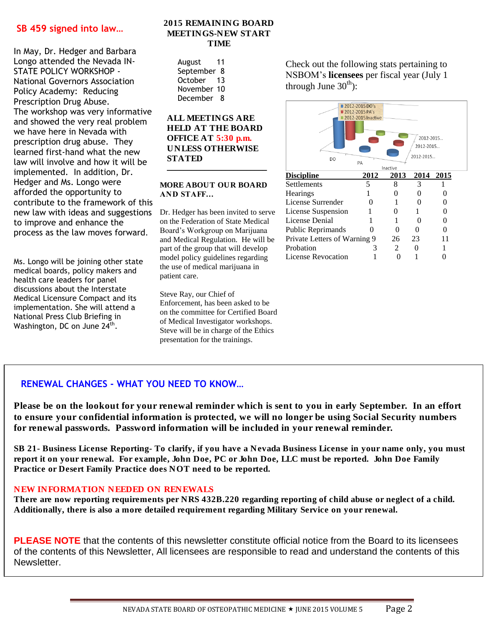#### **SB 459 signed into law…**

In May, Dr. Hedger and Barbara Longo attended the Nevada IN-STATE POLICY WORKSHOP - National Governors Association Policy Academy: Reducing Prescription Drug Abuse. The workshop was very informative and showed the very real problem we have here in Nevada with prescription drug abuse. They learned first-hand what the new law will involve and how it will be implemented. In addition, Dr. Hedger and Ms. Longo were afforded the opportunity to contribute to the framework of this new law with ideas and suggestions to improve and enhance the process as the law moves forward.

Ms. Longo will be joining other state medical boards, policy makers and health care leaders for panel discussions about the Interstate Medical Licensure Compact and its implementation. She will attend a National Press Club Briefing in Washington, DC on June 24<sup>th</sup>.

#### **2015 REMAINING BOARD MEETINGS-NEW START TIME**

| August      | 11 |
|-------------|----|
| September 8 |    |
| October     | 13 |
| November 10 |    |
| December    | 8  |

#### **ALL MEETINGS ARE HELD AT THE BOARD OFFICE AT 5:30 p.m. UNLESS OTHERWISE STATED**

#### **MORE ABOUT OUR BOARD AND STAFF…**

**\_\_\_\_\_\_\_\_\_\_\_\_\_\_\_\_\_\_\_\_\_\_\_\_**

Dr. Hedger has been invited to serve on the Federation of State Medical Board's Workgroup on Marijuana and Medical Regulation. He will be part of the group that will develop model policy guidelines regarding the use of medical marijuana in patient care.

Steve Ray, our Chief of Enforcement, has been asked to be on the committee for Certified Board of Medical Investigator workshops. Steve will be in charge of the Ethics presentation for the trainings.

Check out the following stats pertaining to NSBOM's **licensees** per fiscal year (July 1 through June  $30<sup>th</sup>$ :



## **RENEWAL CHANGES - WHAT YOU NEED TO KNOW…**

**Please be on the lookout for your renewal reminder which is sent to you in early September. In an effort to ensure your confidential information is protected, we will no longer be using Social Security numbers for renewal passwords. Password information will be included in your renewal reminder.**

**SB 21- Business License Reporting- To clarify, if you have a Nevada Business License in your name only, you must report it on your renewal. For example, John Doe, PC or John Doe, LLC must be reported. John Doe Family Practice or Desert Family Practice does NOT need to be reported.**

#### **NEW INFORMATION NEEDED ON RENEWALS**

 **Additionally, there is also a more detailed requirement regarding Military Service on your renewal. There are now reporting requirements per NRS 432B.220 regarding reporting of child abuse or neglect of a child.** 

**PLEASE NOTE** that the contents of this newsletter constitute official notice from the Board to its licensees of the contents of this Newsletter, All licensees are responsible to read and understand the contents of this Commissions application may be Newsletter.

Governor's website:

(702) 486-260, or by email, proposed the contract of the contract of the contract of the contract of the contract of the contract of the contract of the contract of the contract of the contract of the contract of the contr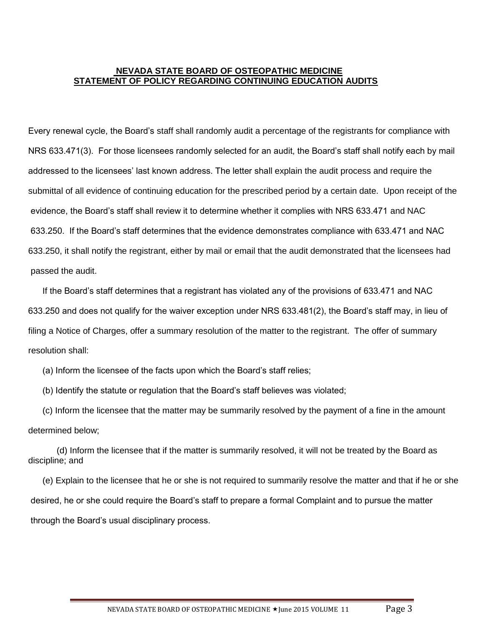#### **NEVADA STATE BOARD OF OSTEOPATHIC MEDICINE STATEMENT OF POLICY REGARDING CONTINUING EDUCATION AUDITS**

Every renewal cycle, the Board's staff shall randomly audit a percentage of the registrants for compliance with NRS 633.471(3). For those licensees randomly selected for an audit, the Board's staff shall notify each by mail addressed to the licensees' last known address. The letter shall explain the audit process and require the submittal of all evidence of continuing education for the prescribed period by a certain date. Upon receipt of the evidence, the Board's staff shall review it to determine whether it complies with NRS 633.471 and NAC 633.250. If the Board's staff determines that the evidence demonstrates compliance with 633.471 and NAC 633.250, it shall notify the registrant, either by mail or email that the audit demonstrated that the licensees had passed the audit.

If the Board's staff determines that a registrant has violated any of the provisions of 633.471 and NAC 633.250 and does not qualify for the waiver exception under NRS 633.481(2), the Board's staff may, in lieu of filing a Notice of Charges, offer a summary resolution of the matter to the registrant. The offer of summary resolution shall:

(a) Inform the licensee of the facts upon which the Board's staff relies;

(b) Identify the statute or regulation that the Board's staff believes was violated;

(c) Inform the licensee that the matter may be summarily resolved by the payment of a fine in the amount determined below;

(d) Inform the licensee that if the matter is summarily resolved, it will not be treated by the Board as discipline; and

(e) Explain to the licensee that he or she is not required to summarily resolve the matter and that if he or she desired, he or she could require the Board's staff to prepare a formal Complaint and to pursue the matter through the Board's usual disciplinary process.